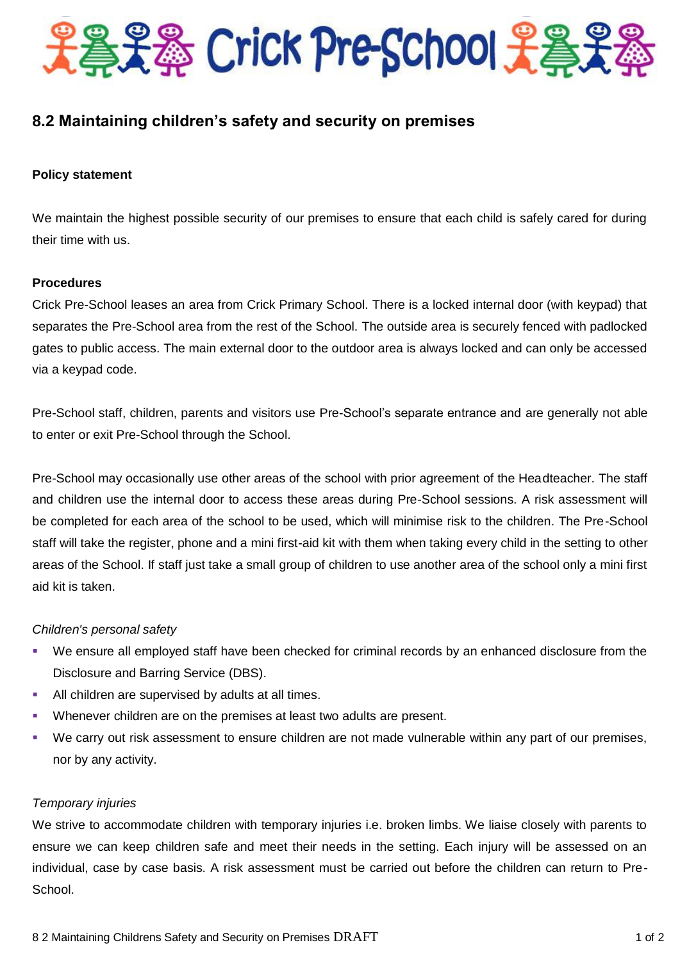

# **8.2 Maintaining children's safety and security on premises**

## **Policy statement**

We maintain the highest possible security of our premises to ensure that each child is safely cared for during their time with us.

## **Procedures**

Crick Pre-School leases an area from Crick Primary School. There is a locked internal door (with keypad) that separates the Pre-School area from the rest of the School. The outside area is securely fenced with padlocked gates to public access. The main external door to the outdoor area is always locked and can only be accessed via a keypad code.

Pre-School staff, children, parents and visitors use Pre-School's separate entrance and are generally not able to enter or exit Pre-School through the School.

Pre-School may occasionally use other areas of the school with prior agreement of the Headteacher. The staff and children use the internal door to access these areas during Pre-School sessions. A risk assessment will be completed for each area of the school to be used, which will minimise risk to the children. The Pre-School staff will take the register, phone and a mini first-aid kit with them when taking every child in the setting to other areas of the School. If staff just take a small group of children to use another area of the school only a mini first aid kit is taken.

## *Children's personal safety*

- We ensure all employed staff have been checked for criminal records by an enhanced disclosure from the Disclosure and Barring Service (DBS).
- **All children are supervised by adults at all times.**
- Whenever children are on the premises at least two adults are present.
- We carry out risk assessment to ensure children are not made vulnerable within any part of our premises, nor by any activity.

#### *Temporary injuries*

We strive to accommodate children with temporary injuries i.e. broken limbs. We liaise closely with parents to ensure we can keep children safe and meet their needs in the setting. Each injury will be assessed on an individual, case by case basis. A risk assessment must be carried out before the children can return to Pre-School.